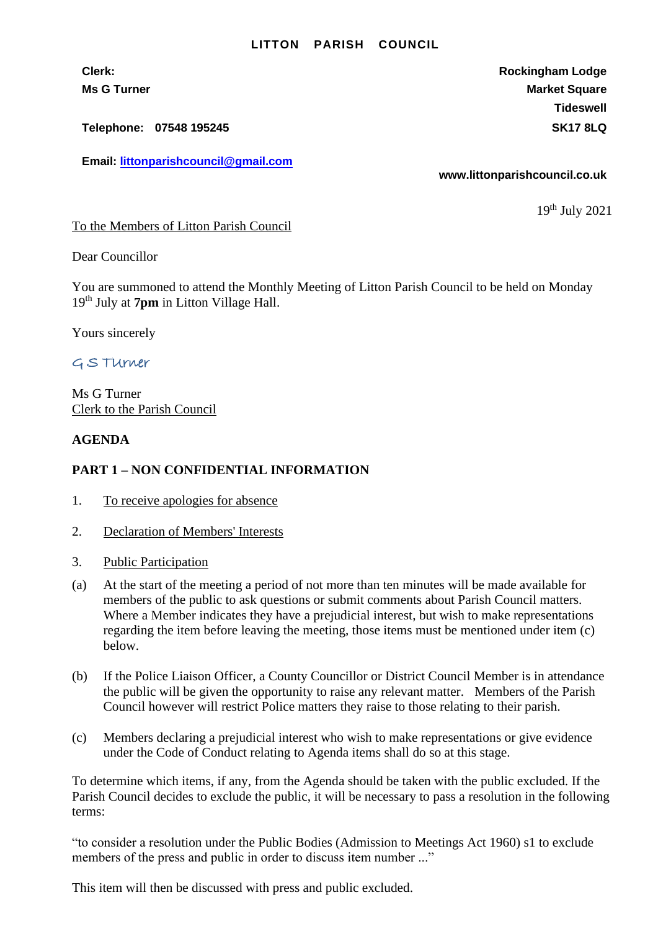#### **LITTON PARISH COUNCIL**

**Telephone: 07548 195245 SK17 8LQ**

**Email: [littonparishcouncil@gmail.com](mailto:littonparishcouncil@gmail.com)**

**Clerk: Rockingham Lodge Ms G Turner Market Square** Market Square Market Square Market Square **Tideswell**

**www.littonparishcouncil.co.uk**

19 th July 2021

To the Members of Litton Parish Council

Dear Councillor

You are summoned to attend the Monthly Meeting of Litton Parish Council to be held on Monday 19th July at **7pm** in Litton Village Hall.

Yours sincerely

# G S TUrner

Ms G Turner Clerk to the Parish Council

### **AGENDA**

## **PART 1 – NON CONFIDENTIAL INFORMATION**

- 1. To receive apologies for absence
- 2. Declaration of Members' Interests
- 3. Public Participation
- (a) At the start of the meeting a period of not more than ten minutes will be made available for members of the public to ask questions or submit comments about Parish Council matters. Where a Member indicates they have a prejudicial interest, but wish to make representations regarding the item before leaving the meeting, those items must be mentioned under item (c) below.
- (b) If the Police Liaison Officer, a County Councillor or District Council Member is in attendance the public will be given the opportunity to raise any relevant matter. Members of the Parish Council however will restrict Police matters they raise to those relating to their parish.
- (c) Members declaring a prejudicial interest who wish to make representations or give evidence under the Code of Conduct relating to Agenda items shall do so at this stage.

To determine which items, if any, from the Agenda should be taken with the public excluded. If the Parish Council decides to exclude the public, it will be necessary to pass a resolution in the following terms:

"to consider a resolution under the Public Bodies (Admission to Meetings Act 1960) s1 to exclude members of the press and public in order to discuss item number ..."

This item will then be discussed with press and public excluded.